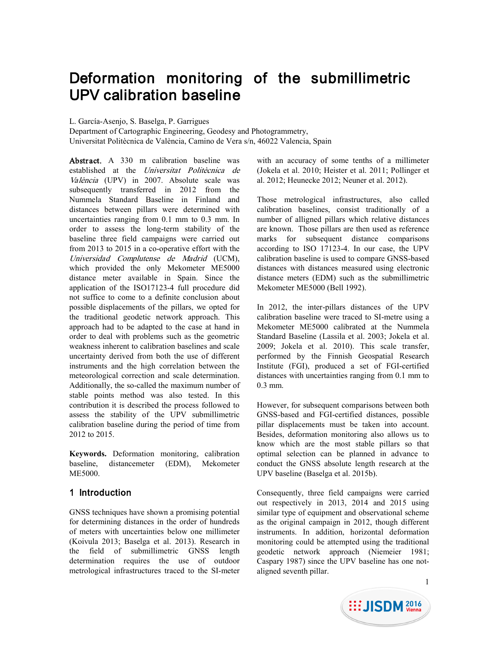# Deformation monitoring of the submillimetric UPV calibration baseline

#### L. García-Asenjo, S. Baselga, P. Garrigues

Department of Cartographic Engineering, Geodesy and Photogrammetry, Universitat Politècnica de València, Camino de Vera s/n, 46022 Valencia, Spain

Abstract. A 330 m calibration baseline was established at the Universitat Politècnica de València (UPV) in 2007. Absolute scale was subsequently transferred in 2012 from the Nummela Standard Baseline in Finland and distances between pillars were determined with uncertainties ranging from 0.1 mm to 0.3 mm. In order to assess the long-term stability of the baseline three field campaigns were carried out from 2013 to 2015 in a co-operative effort with the Universidad Complutense de Madrid (UCM), which provided the only Mekometer ME5000 distance meter available in Spain. Since the application of the ISO17123-4 full procedure did not suffice to come to a definite conclusion about possible displacements of the pillars, we opted for the traditional geodetic network approach. This approach had to be adapted to the case at hand in order to deal with problems such as the geometric weakness inherent to calibration baselines and scale uncertainty derived from both the use of different instruments and the high correlation between the meteorological correction and scale determination. Additionally, the so-called the maximum number of stable points method was also tested. In this contribution it is described the process followed to assess the stability of the UPV submillimetric calibration baseline during the period of time from 2012 to 2015.

**Keywords.** Deformation monitoring, calibration baseline, distancemeter (EDM), Mekometer ME5000.

# 1 Introduction

GNSS techniques have shown a promising potential for determining distances in the order of hundreds of meters with uncertainties below one millimeter (Koivula 2013; Baselga et al. 2013). Research in the field of submillimetric GNSS length determination requires the use of outdoor metrological infrastructures traced to the SI-meter with an accuracy of some tenths of a millimeter (Jokela et al. 2010; Heister et al. 2011; Pollinger et al. 2012; Heunecke 2012; Neuner et al. 2012).

Those metrological infrastructures, also called calibration baselines, consist traditionally of a number of alligned pillars which relative distances are known. Those pillars are then used as reference marks for subsequent distance comparisons according to ISO 17123-4. In our case, the UPV calibration baseline is used to compare GNSS-based distances with distances measured using electronic distance meters (EDM) such as the submillimetric Mekometer ME5000 (Bell 1992).

In 2012, the inter-pillars distances of the UPV calibration baseline were traced to SI-metre using a Mekometer ME5000 calibrated at the Nummela Standard Baseline (Lassila et al. 2003; Jokela et al. 2009; Jokela et al. 2010). This scale transfer, performed by the Finnish Geospatial Research Institute (FGI), produced a set of FGI-certified distances with uncertainties ranging from 0.1 mm to 0.3 mm.

However, for subsequent comparisons between both GNSS-based and FGI-certified distances, possible pillar displacements must be taken into account. Besides, deformation monitoring also allows us to know which are the most stable pillars so that optimal selection can be planned in advance to conduct the GNSS absolute length research at the UPV baseline (Baselga et al. 2015b).

Consequently, three field campaigns were carried out respectively in 2013, 2014 and 2015 using similar type of equipment and observational scheme as the original campaign in 2012, though different instruments. In addition, horizontal deformation monitoring could be attempted using the traditional geodetic network approach (Niemeier 1981; Caspary 1987) since the UPV baseline has one notaligned seventh pillar.

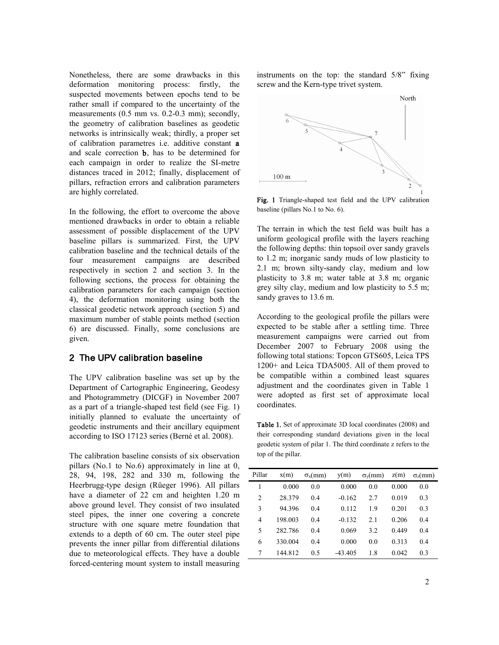Nonetheless, there are some drawbacks in this deformation monitoring process: firstly, the suspected movements between epochs tend to be rather small if compared to the uncertainty of the measurements (0.5 mm vs. 0.2-0.3 mm); secondly, the geometry of calibration baselines as geodetic networks is intrinsically weak; thirdly, a proper set of calibration parametres i.e. additive constant a and scale correction b, has to be determined for each campaign in order to realize the SI-metre distances traced in 2012; finally, displacement of pillars, refraction errors and calibration parameters are highly correlated.

In the following, the effort to overcome the above mentioned drawbacks in order to obtain a reliable assessment of possible displacement of the UPV baseline pillars is summarized. First, the UPV calibration baseline and the technical details of the four measurement campaigns are described respectively in section 2 and section 3. In the following sections, the process for obtaining the calibration parameters for each campaign (section 4), the deformation monitoring using both the classical geodetic network approach (section 5) and maximum number of stable points method (section 6) are discussed. Finally, some conclusions are given.

## 2 The UPV calibration baseline

The UPV calibration baseline was set up by the Department of Cartographic Engineering, Geodesy and Photogrammetry (DICGF) in November 2007 as a part of a triangle-shaped test field (see Fig. 1) initially planned to evaluate the uncertainty of geodetic instruments and their ancillary equipment according to ISO 17123 series (Berné et al. 2008).

The calibration baseline consists of six observation pillars (No.1 to No.6) approximately in line at 0, 28, 94, 198, 282 and 330 m, following the Heerbrugg-type design (Rüeger 1996). All pillars have a diameter of 22 cm and heighten 1.20 m above ground level. They consist of two insulated steel pipes, the inner one covering a concrete structure with one square metre foundation that extends to a depth of 60 cm. The outer steel pipe prevents the inner pillar from differential dilations due to meteorological effects. They have a double forced-centering mount system to install measuring

instruments on the top: the standard 5/8" fixing screw and the Kern-type trivet system.



Fig. 1 Triangle-shaped test field and the UPV calibration baseline (pillars No.1 to No. 6).

The terrain in which the test field was built has a uniform geological profile with the layers reaching the following depths: thin topsoil over sandy gravels to 1.2 m; inorganic sandy muds of low plasticity to 2.1 m; brown silty-sandy clay, medium and low plasticity to 3.8 m; water table at 3.8 m; organic grey silty clay, medium and low plasticity to 5.5 m; sandy graves to 13.6 m.

According to the geological profile the pillars were expected to be stable after a settling time. Three measurement campaigns were carried out from December 2007 to February 2008 using the following total stations: Topcon GTS605, Leica TPS 1200+ and Leica TDA5005. All of them proved to be compatible within a combined least squares adjustment and the coordinates given in Table 1 were adopted as first set of approximate local coordinates.

Table 1. Set of approximate 3D local coordinates (2008) and their corresponding standard deviations given in the local geodetic system of pilar 1. The third coordinate z refers to the top of the pillar.

| 1<br>0.000<br>0.000<br>0.0<br>0.0<br>0.0<br>0.000<br>0.019<br>2<br>28.379<br>$-0.162$<br>0.3<br>0.4<br>2.7<br>3<br>94.396<br>0.112<br>0.201<br>0.3<br>0.4<br>19 | $\sigma_z$ (mm) |
|-----------------------------------------------------------------------------------------------------------------------------------------------------------------|-----------------|
|                                                                                                                                                                 |                 |
|                                                                                                                                                                 |                 |
|                                                                                                                                                                 |                 |
| 198.003<br>0.206<br>0.4<br>$-0.132$<br>4<br>2.1<br>0.4                                                                                                          |                 |
| 5<br>282.786<br>0.069<br>0.4<br>3.2<br>0.449<br>0.4                                                                                                             |                 |
| 330.004<br>0.000<br>0.313<br>0.4<br>0.0<br>0.4<br>6                                                                                                             |                 |
| 7<br>144.812<br>0.042<br>1.8<br>0.5<br>$-43.405$<br>0.3                                                                                                         |                 |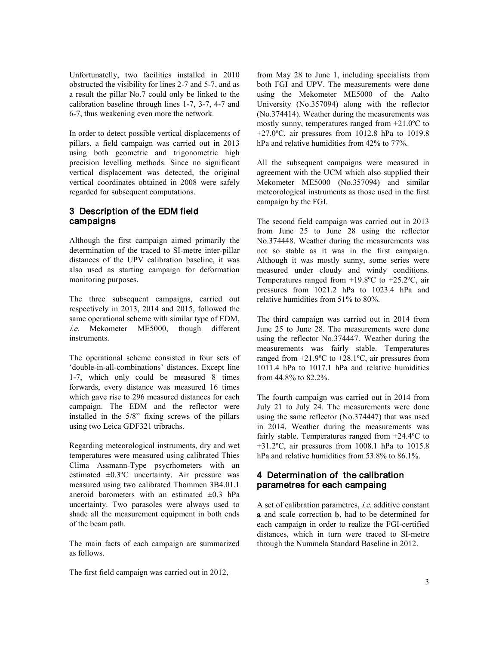Unfortunatelly, two facilities installed in 2010 obstructed the visibility for lines 2-7 and 5-7, and as a result the pillar No.7 could only be linked to the calibration baseline through lines 1-7, 3-7, 4-7 and 6-7, thus weakening even more the network.

In order to detect possible vertical displacements of pillars, a field campaign was carried out in 2013 using both geometric and trigonometric high precision levelling methods. Since no significant vertical displacement was detected, the original vertical coordinates obtained in 2008 were safely regarded for subsequent computations.

# 3 Description of the EDM field campaigns

Although the first campaign aimed primarily the determination of the traced to SI-metre inter-pillar distances of the UPV calibration baseline, it was also used as starting campaign for deformation monitoring purposes.

The three subsequent campaigns, carried out respectively in 2013, 2014 and 2015, followed the same operational scheme with similar type of EDM, i.e. Mekometer ME5000, though different **instruments** 

The operational scheme consisted in four sets of 'double-in-all-combinations' distances. Except line 1-7, which only could be measured 8 times forwards, every distance was measured 16 times which gave rise to 296 measured distances for each campaign. The EDM and the reflector were installed in the 5/8" fixing screws of the pillars using two Leica GDF321 tribrachs.

Regarding meteorological instruments, dry and wet temperatures were measured using calibrated Thies Clima Assmann-Type psycrhometers with an estimated  $\pm 0.3$ °C uncertainty. Air pressure was measured using two calibrated Thommen 3B4.01.1 aneroid barometers with an estimated  $\pm 0.3$  hPa uncertainty. Two parasoles were always used to shade all the measurement equipment in both ends of the beam path.

The main facts of each campaign are summarized as follows.

The first field campaign was carried out in 2012,

from May 28 to June 1, including specialists from both FGI and UPV. The measurements were done using the Mekometer ME5000 of the Aalto University (No.357094) along with the reflector (No.374414). Weather during the measurements was mostly sunny, temperatures ranged from +21.0ºC to  $+27.0$ °C, air pressures from 1012.8 hPa to 1019.8 hPa and relative humidities from 42% to 77%.

All the subsequent campaigns were measured in agreement with the UCM which also supplied their Mekometer ME5000 (No.357094) and similar meteorological instruments as those used in the first campaign by the FGI.

The second field campaign was carried out in 2013 from June 25 to June 28 using the reflector No.374448. Weather during the measurements was not so stable as it was in the first campaign. Although it was mostly sunny, some series were measured under cloudy and windy conditions. Temperatures ranged from +19.8ºC to +25.2ºC, air pressures from 1021.2 hPa to 1023.4 hPa and relative humidities from 51% to 80%.

The third campaign was carried out in 2014 from June 25 to June 28. The measurements were done using the reflector No.374447. Weather during the measurements was fairly stable. Temperatures ranged from +21.9ºC to +28.1ºC, air pressures from 1011.4 hPa to 1017.1 hPa and relative humidities from 44.8% to 82.2%.

The fourth campaign was carried out in 2014 from July 21 to July 24. The measurements were done using the same reflector (No.374447) that was used in 2014. Weather during the measurements was fairly stable. Temperatures ranged from +24.4ºC to +31.2ºC, air pressures from 1008.1 hPa to 1015.8 hPa and relative humidities from 53.8% to 86.1%.

## 4 Determination of the calibration parametres for each campaing

A set of calibration parametres, i.e. additive constant a and scale correction b, had to be determined for each campaign in order to realize the FGI-certified distances, which in turn were traced to SI-metre through the Nummela Standard Baseline in 2012.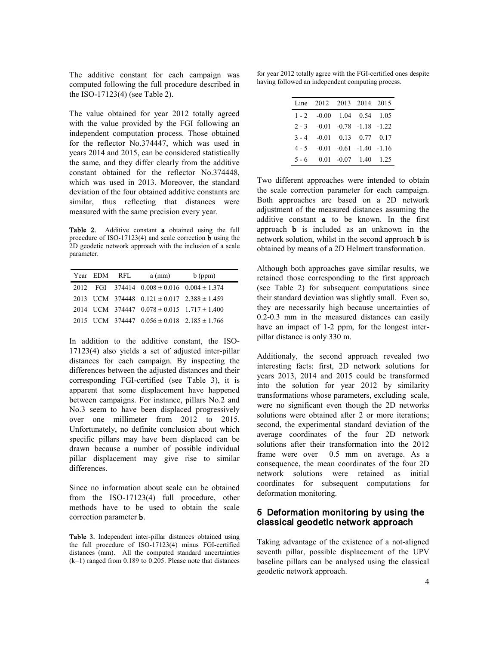The additive constant for each campaign was computed following the full procedure described in the ISO-17123(4) (see Table 2).

The value obtained for year 2012 totally agreed with the value provided by the FGI following an independent computation process. Those obtained for the reflector No.374447, which was used in years 2014 and 2015, can be considered statistically the same, and they differ clearly from the additive constant obtained for the reflector No.374448, which was used in 2013. Moreover, the standard deviation of the four obtained additive constants are similar, thus reflecting that distances were measured with the same precision every year.

Table 2. Additive constant a obtained using the full procedure of ISO-17123(4) and scale correction b using the 2D geodetic network approach with the inclusion of a scale parameter.

| Year EDM RFL | $a$ (mm)                                            | $b$ (ppm) |
|--------------|-----------------------------------------------------|-----------|
|              | 2012 FGI 374414 $0.008 \pm 0.016$ $0.004 \pm 1.374$ |           |
|              | 2013 UCM 374448 $0.121 \pm 0.017$ $2.388 \pm 1.459$ |           |
|              | 2014 UCM 374447 $0.078 \pm 0.015$ 1.717 $\pm 1.400$ |           |
|              | 2015 UCM 374447 $0.056 \pm 0.018$ $2.185 \pm 1.766$ |           |

In addition to the additive constant, the ISO-17123(4) also yields a set of adjusted inter-pillar distances for each campaign. By inspecting the differences between the adjusted distances and their corresponding FGI-certified (see Table 3), it is apparent that some displacement have happened between campaigns. For instance, pillars No.2 and No.3 seem to have been displaced progressively over one millimeter from 2012 to 2015. Unfortunately, no definite conclusion about which specific pillars may have been displaced can be drawn because a number of possible individual pillar displacement may give rise to similar differences.

Since no information about scale can be obtained from the ISO-17123(4) full procedure, other methods have to be used to obtain the scale correction parameter b.

Table 3. Independent inter-pillar distances obtained using the full procedure of ISO-17123(4) minus FGI-certified distances (mm). All the computed standard uncertainties (k=1) ranged from 0.189 to 0.205. Please note that distances

for year 2012 totally agree with the FGI-certified ones despite having followed an independent computing process.

|         | Line 2012 2013 2014 2015        |                                 |  |
|---------|---------------------------------|---------------------------------|--|
|         | $1 - 2 -0.00$ 1.04 0.54 1.05    |                                 |  |
| $2 - 3$ | $-0.01$ $-0.78$ $-1.18$ $-1.22$ |                                 |  |
| $3 - 4$ |                                 | $-0.01$ 0.13 0.77 0.17          |  |
| $4 - 5$ |                                 | $-0.01$ $-0.61$ $-1.40$ $-1.16$ |  |
|         | $5 - 6$ 0.01 -0.07 1.40 1.25    |                                 |  |

Two different approaches were intended to obtain the scale correction parameter for each campaign. Both approaches are based on a 2D network adjustment of the measured distances assuming the additive constant a to be known. In the first approach b is included as an unknown in the network solution, whilst in the second approach b is obtained by means of a 2D Helmert transformation.

Although both approaches gave similar results, we retained those corresponding to the first approach (see Table 2) for subsequent computations since their standard deviation was slightly small. Even so, they are necessarily high because uncertainties of 0.2-0.3 mm in the measured distances can easily have an impact of 1-2 ppm, for the longest interpillar distance is only 330 m.

Additionaly, the second approach revealed two interesting facts: first, 2D network solutions for years 2013, 2014 and 2015 could be transformed into the solution for year 2012 by similarity transformations whose parameters, excluding scale, were no significant even though the 2D networks solutions were obtained after 2 or more iterations; second, the experimental standard deviation of the average coordinates of the four 2D network solutions after their transformation into the 2012 frame were over 0.5 mm on average. As a consequence, the mean coordinates of the four 2D network solutions were retained as initial coordinates for subsequent computations for deformation monitoring.

## 5 Deformation monitoring by using the classical geodetic network approach

Taking advantage of the existence of a not-aligned seventh pillar, possible displacement of the UPV baseline pillars can be analysed using the classical geodetic network approach.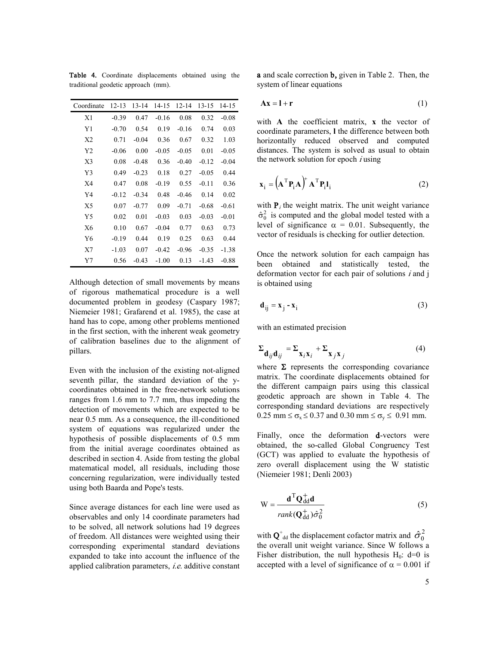| Coordinate     | 12-13   | 13-14   | 14-15   | $12 - 14$ | 13-15   | 14-15   |
|----------------|---------|---------|---------|-----------|---------|---------|
| X1             | $-0.39$ | 0.47    | $-0.16$ | 0.08      | 0.32    | $-0.08$ |
| Y1             | $-0.70$ | 0.54    | 0.19    | $-0.16$   | 0.74    | 0.03    |
| X <sub>2</sub> | 0.71    | $-0.04$ | 0.36    | 0.67      | 0.32    | 1.03    |
| Y <sub>2</sub> | $-0.06$ | 0.00    | $-0.05$ | $-0.05$   | 0.01    | $-0.05$ |
| X3             | 0.08    | $-0.48$ | 0.36    | $-0.40$   | $-0.12$ | $-0.04$ |
| Y3             | 0.49    | $-0.23$ | 0.18    | 0.27      | $-0.05$ | 0.44    |
| X4             | 0.47    | 0.08    | $-0.19$ | 0.55      | $-0.11$ | 0.36    |
| Y4             | $-0.12$ | $-0.34$ | 0.48    | $-0.46$   | 0.14    | 0.02    |
| X5             | 0.07    | $-0.77$ | 0.09    | $-0.71$   | $-0.68$ | $-0.61$ |
| Y <sub>5</sub> | 0.02    | 0.01    | $-0.03$ | 0.03      | $-0.03$ | $-0.01$ |
| X <sub>6</sub> | 0.10    | 0.67    | $-0.04$ | 0.77      | 0.63    | 0.73    |
| Y <sub>6</sub> | $-0.19$ | 0.44    | 0.19    | 0.25      | 0.63    | 0.44    |
| X7             | $-1.03$ | 0.07    | $-0.42$ | $-0.96$   | $-0.35$ | $-1.38$ |
| Y7             | 0.56    | $-0.43$ | $-1.00$ | 0.13      | $-1.43$ | $-0.88$ |

Table 4. Coordinate displacements obtained using the traditional geodetic approach (mm).

Although detection of small movements by means of rigorous mathematical procedure is a well documented problem in geodesy (Caspary 1987; Niemeier 1981; Grafarend et al. 1985), the case at hand has to cope, among other problems mentioned in the first section, with the inherent weak geometry of calibration baselines due to the alignment of pillars.

Even with the inclusion of the existing not-aligned seventh pillar, the standard deviation of the ycoordinates obtained in the free-network solutions ranges from 1.6 mm to 7.7 mm, thus impeding the detection of movements which are expected to be near 0.5 mm. As a consequence, the ill-conditioned system of equations was regularized under the hypothesis of possible displacements of 0.5 mm from the initial average coordinates obtained as described in section 4. Aside from testing the global matematical model, all residuals, including those concerning regularization, were individually tested using both Baarda and Pope's tests.

Since average distances for each line were used as observables and only 14 coordinate parameters had to be solved, all network solutions had 19 degrees of freedom. All distances were weighted using their corresponding experimental standard deviations expanded to take into account the influence of the applied calibration parameters, i.e. additive constant a and scale correction b, given in Table 2. Then, the system of linear equations

$$
Ax = l + r \tag{1}
$$

with **A** the coefficient matrix, **x** the vector of coordinate parameters, **l** the difference between both horizontally reduced observed and computed distances. The system is solved as usual to obtain the network solution for epoch  $i$  using

$$
\mathbf{x}_{i} = (\mathbf{A}^{\mathrm{T}} \mathbf{P}_{i} \mathbf{A})^{\mathrm{T}} \mathbf{A}^{\mathrm{T}} \mathbf{P}_{i} \mathbf{l}_{i}
$$
 (2)

with  $P_i$  the weight matrix. The unit weight variance  $\hat{\sigma}_0^2$  is computed and the global model tested with a level of significance  $\alpha = 0.01$ . Subsequently, the vector of residuals is checking for outlier detection.

Once the network solution for each campaign has been obtained and statistically tested, the deformation vector for each pair of solutions  $i$  and  $j$ is obtained using

$$
\mathbf{d}_{ij} = \mathbf{x}_j - \mathbf{x}_i \tag{3}
$$

with an estimated precision

$$
\Sigma_{\mathbf{d}_{ij}\mathbf{d}_{ij}} = \Sigma_{\mathbf{x}_i\mathbf{x}_i} + \Sigma_{\mathbf{x}_j\mathbf{x}_j}
$$
(4)

where  $\Sigma$  represents the corresponding covariance matrix. The coordinate displacements obtained for the different campaign pairs using this classical geodetic approach are shown in Table 4. The corresponding standard deviations are respectively 0.25 mm  $\leq \sigma_x \leq 0.37$  and 0.30 mm  $\leq \sigma_y \leq 0.91$  mm.

Finally, once the deformation **d**-vectors were obtained, the so-called Global Congruency Test (GCT) was applied to evaluate the hypothesis of zero overall displacement using the W statistic (Niemeier 1981; Denli 2003)

$$
W = \frac{\mathbf{d}^{T} \mathbf{Q}_{dd}^{+} \mathbf{d}}{rank(\mathbf{Q}_{dd}^{+}) \hat{\sigma}_0^2}
$$
 (5)

with  $\mathbf{Q}^{\dagger}_{\text{dd}}$  the displacement cofactor matrix and  $\hat{\sigma}_0^2$ the overall unit weight variance. Since W follows a Fisher distribution, the null hypothesis  $H_0$ : d=0 is accepted with a level of significance of  $\alpha = 0.001$  if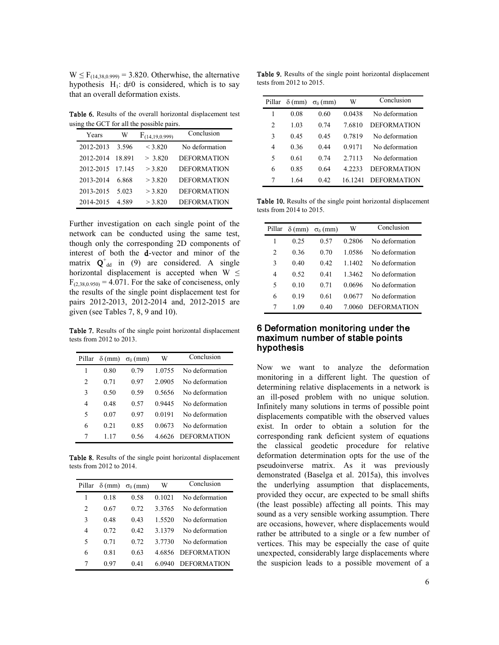$W \le F_{(14,38,0.999)} = 3.820$ . Otherwhise, the alternative hypothesis H<sub>1</sub>:  $d \neq 0$  is considered, which is to say that an overall deformation exists.

Table 6. Results of the overall horizontal displacement test using the GCT for all the possible pairs.

| Years     | W      | $F_{(14,19,0.999)}$ | Conclusion         |
|-----------|--------|---------------------|--------------------|
| 2012-2013 | 3.596  | $<$ 3.820           | No deformation     |
| 2012-2014 | 18.891 | > 3.820             | <b>DEFORMATION</b> |
| 2012-2015 | 17 145 | $>$ 3.820           | <b>DEFORMATION</b> |
| 2013-2014 | 6.868  | $>$ 3.820           | <b>DEFORMATION</b> |
| 2013-2015 | 5.023  | $>$ 3.820           | <b>DEFORMATION</b> |
| 2014-2015 | 4.589  | $>$ 3.820           | <b>DEFORMATION</b> |

Further investigation on each single point of the network can be conducted using the same test, though only the corresponding 2D components of interest of both the d-vector and minor of the matrix  $\mathbf{Q}_{\text{dd}}^{\dagger}$  in (9) are considered. A single horizontal displacement is accepted when  $W \leq$  $F_{(2,38,0.950)} = 4.071$ . For the sake of conciseness, only the results of the single point displacement test for pairs 2012-2013, 2012-2014 and, 2012-2015 are given (see Tables 7, 8, 9 and 10).

Table 7. Results of the single point horizontal displacement tests from 2012 to 2013.

| Pillar         | $\delta$ (mm) | $\sigma_{\delta}$ (mm) | W         | Conclusion         |
|----------------|---------------|------------------------|-----------|--------------------|
| 1              | 0.80          | 0.79                   | 1.0755    | No deformation     |
| $\overline{c}$ | 0.71          | 0.97                   | 2.0905    | No deformation     |
| 3              | 0.50          | 0.59                   | 0.5656    | No deformation     |
| 4              | 0.48          | 0.57                   | 0.9445    | No deformation     |
| 5              | 0.07          | 0.97                   | 0 0 1 9 1 | No deformation     |
| 6              | 0.21          | 0.85                   | 0.0673    | No deformation     |
| 7              | 117           | 0.56                   | 4 6626    | <b>DEFORMATION</b> |

Table 8. Results of the single point horizontal displacement tests from 2012 to 2014.

| Pillar         | $\delta$ (mm) | $\sigma_{\delta}$ (mm) | W         | Conclusion         |
|----------------|---------------|------------------------|-----------|--------------------|
| 1              | 0.18          | 0.58                   | 0.1021    | No deformation     |
| $\overline{c}$ | 0.67          | 0.72                   | 3 3 7 6 5 | No deformation     |
| 3              | 0.48          | 0.43                   | 1.5520    | No deformation     |
| 4              | 0.72          | 0.42                   | 3 1379    | No deformation     |
| 5              | 0.71          | 0.72                   | 3.7730    | No deformation     |
| 6              | 0.81          | 0.63                   | 4 6856    | <b>DEFORMATION</b> |
| 7              | 0 ዓ7          | 0.41                   | 6.0940    | <b>DEFORMATION</b> |

Table 9. Results of the single point horizontal displacement tests from 2012 to 2015.

| Pillar         | $\delta$ (mm) | $\sigma_{\delta}$ (mm) | W       | Conclusion         |
|----------------|---------------|------------------------|---------|--------------------|
| 1              | 0.08          | 0.60                   | 0.0438  | No deformation     |
| $\overline{c}$ | 1.03          | 0.74                   | 7.6810  | <b>DEFORMATION</b> |
| 3              | 0.45          | 0.45                   | 0.7819  | No deformation     |
| 4              | 0.36          | 0.44                   | 0.9171  | No deformation     |
| 5              | 0.61          | 0.74                   | 2.7113  | No deformation     |
| 6              | 0.85          | 0.64                   | 4 2233  | <b>DEFORMATION</b> |
| 7              | 1.64          | 0.42                   | 16 1241 | <b>DEFORMATION</b> |

Table 10. Results of the single point horizontal displacement tests from 2014 to 2015.

| Pillar         | $\delta$ (mm) | $\sigma_{\delta}$ (mm) | W      | Conclusion         |
|----------------|---------------|------------------------|--------|--------------------|
| 1              | 0.25          | 0.57                   | 0.2806 | No deformation     |
| $\overline{c}$ | 0.36          | 0.70                   | 1 0586 | No deformation     |
| 3              | 0.40          | 0.42                   | 1 1402 | No deformation     |
| $\overline{4}$ | 0.52          | 0.41                   | 1 3462 | No deformation     |
| 5              | 0.10          | 0.71                   | 0.0696 | No deformation     |
| 6              | 0.19          | 0.61                   | 0.0677 | No deformation     |
| 7              | 109           | 0.40                   | 7 0060 | <b>DEFORMATION</b> |

### 6 Deformation monitoring under the maximum number of stable points hypothesis

Now we want to analyze the deformation monitoring in a different light. The question of determining relative displacements in a network is an ill-posed problem with no unique solution. Infinitely many solutions in terms of possible point displacements compatible with the observed values exist. In order to obtain a solution for the corresponding rank deficient system of equations the classical geodetic procedure for relative deformation determination opts for the use of the pseudoinverse matrix. As it was previously demonstrated (Baselga et al. 2015a), this involves the underlying assumption that displacements, provided they occur, are expected to be small shifts (the least possible) affecting all points. This may sound as a very sensible working assumption. There are occasions, however, where displacements would rather be attributed to a single or a few number of vertices. This may be especially the case of quite unexpected, considerably large displacements where the suspicion leads to a possible movement of a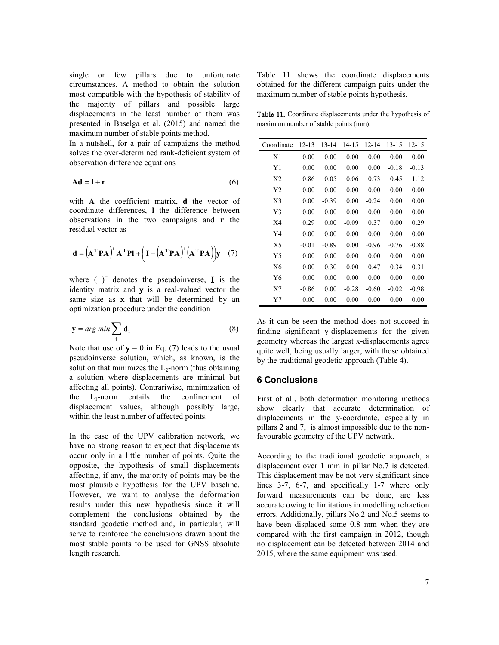single or few pillars due to unfortunate circumstances. A method to obtain the solution most compatible with the hypothesis of stability of the majority of pillars and possible large displacements in the least number of them was presented in Baselga et al. (2015) and named the maximum number of stable points method.

In a nutshell, for a pair of campaigns the method solves the over-determined rank-deficient system of observation difference equations

$$
Ad = l + r \tag{6}
$$

with **A** the coefficient matrix, **d** the vector of coordinate differences, **l** the difference between observations in the two campaigns and **r** the residual vector as

$$
\mathbf{d} = (\mathbf{A}^{\mathrm{T}} \mathbf{P} \mathbf{A})^{\mathrm{T}} \mathbf{A}^{\mathrm{T}} \mathbf{P} \mathbf{I} + (\mathbf{I} - (\mathbf{A}^{\mathrm{T}} \mathbf{P} \mathbf{A})^{\mathrm{T}} (\mathbf{A}^{\mathrm{T}} \mathbf{P} \mathbf{A})) \mathbf{y} \quad (7)
$$

where  $(\ )^+$  denotes the pseudoinverse, I is the identity matrix and y is a real-valued vector the same size as  $x$  that will be determined by an optimization procedure under the condition

$$
y = arg min \sum_{i} |d_i|
$$
 (8)

Note that use of  $y = 0$  in Eq. (7) leads to the usual pseudoinverse solution, which, as known, is the solution that minimizes the  $L_2$ -norm (thus obtaining a solution where displacements are minimal but affecting all points). Contrariwise, minimization of the  $L_1$ -norm entails the confinement of displacement values, although possibly large, within the least number of affected points.

In the case of the UPV calibration network, we have no strong reason to expect that displacements occur only in a little number of points. Quite the opposite, the hypothesis of small displacements affecting, if any, the majority of points may be the most plausible hypothesis for the UPV baseline. However, we want to analyse the deformation results under this new hypothesis since it will complement the conclusions obtained by the standard geodetic method and, in particular, will serve to reinforce the conclusions drawn about the most stable points to be used for GNSS absolute length research.

Table 11 shows the coordinate displacements obtained for the different campaign pairs under the maximum number of stable points hypothesis.

Table 11. Coordinate displacements under the hypothesis of maximum number of stable points (mm).

| Coordinate     | $12 - 13$ | 13-14   | 14-15   | $12 - 14$ | 13-15   | 12-15   |
|----------------|-----------|---------|---------|-----------|---------|---------|
| X1             | 0.00      | 0.00    | 0.00    | 0.00      | 0.00    | 0.00    |
| Y1             | 0.00      | 0.00    | 0.00    | 0.00      | $-0.18$ | $-0.13$ |
| X <sub>2</sub> | 0.86      | 0.05    | 0.06    | 0.73      | 0.45    | 1.12    |
| Y <sub>2</sub> | 0.00      | 0.00    | 0.00    | 0.00      | 0.00    | 0.00    |
| X <sub>3</sub> | 0.00      | $-0.39$ | 0.00    | $-0.24$   | 0.00    | 0.00    |
| Y3             | 0.00      | 0.00    | 0.00    | 0.00      | 0.00    | 0.00    |
| X <sub>4</sub> | 0.29      | 0.00    | $-0.09$ | 0.37      | 0.00    | 0.29    |
| Y4             | 0.00      | 0.00    | 0.00    | 0.00      | 0.00    | 0.00    |
| X <sub>5</sub> | $-0.01$   | $-0.89$ | 0.00    | $-0.96$   | $-0.76$ | $-0.88$ |
| Y <sub>5</sub> | 0.00      | 0.00    | 0.00    | 0.00      | 0.00    | 0.00    |
| X6             | 0.00      | 0.30    | 0.00    | 0.47      | 0.34    | 0.31    |
| Y6             | 0.00      | 0.00    | 0.00    | 0.00      | 0.00    | 0.00    |
| X7             | $-0.86$   | 0.00    | $-0.28$ | $-0.60$   | $-0.02$ | $-0.98$ |
| Y7             | 0.00      | 0.00    | 0.00    | 0.00      | 0.00    | 0.00    |

As it can be seen the method does not succeed in finding significant y-displacements for the given geometry whereas the largest x-displacements agree quite well, being usually larger, with those obtained by the traditional geodetic approach (Table 4).

#### 6 Conclusions

First of all, both deformation monitoring methods show clearly that accurate determination of displacements in the y-coordinate, especially in pillars 2 and 7, is almost impossible due to the nonfavourable geometry of the UPV network.

According to the traditional geodetic approach, a displacement over 1 mm in pillar No.7 is detected. This displacement may be not very significant since lines 3-7, 6-7, and specifically 1-7 where only forward measurements can be done, are less accurate owing to limitations in modelling refraction errors. Additionally, pillars No.2 and No.5 seems to have been displaced some 0.8 mm when they are compared with the first campaign in 2012, though no displacement can be detected between 2014 and 2015, where the same equipment was used.